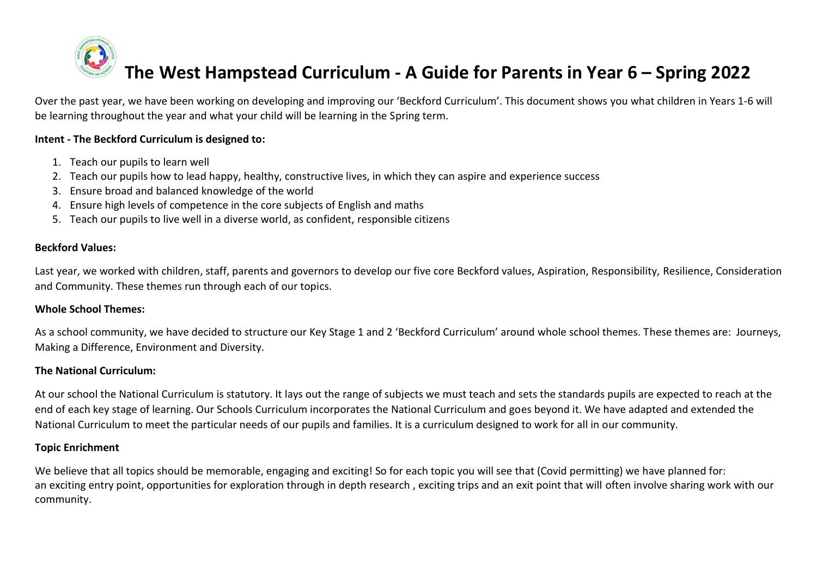# **The West Hampstead Curriculum - A Guide for Parents in Year 6 – Spring 2022**

Over the past year, we have been working on developing and improving our 'Beckford Curriculum'. This document shows you what children in Years 1-6 will be learning throughout the year and what your child will be learning in the Spring term.

#### **Intent - The Beckford Curriculum is designed to:**

- 1. Teach our pupils to learn well
- 2. Teach our pupils how to lead happy, healthy, constructive lives, in which they can aspire and experience success
- 3. Ensure broad and balanced knowledge of the world
- 4. Ensure high levels of competence in the core subjects of English and maths
- 5. Teach our pupils to live well in a diverse world, as confident, responsible citizens

#### **Beckford Values:**

Last year, we worked with children, staff, parents and governors to develop our five core Beckford values, Aspiration, Responsibility, Resilience, Consideration and Community. These themes run through each of our topics.

#### **Whole School Themes:**

As a school community, we have decided to structure our Key Stage 1 and 2 'Beckford Curriculum' around whole school themes. These themes are: Journeys, Making a Difference, Environment and Diversity.

#### **The National Curriculum:**

At our school the National Curriculum is statutory. It lays out the range of subjects we must teach and sets the standards pupils are expected to reach at the end of each key stage of learning. Our Schools Curriculum incorporates the National Curriculum and goes beyond it. We have adapted and extended the National Curriculum to meet the particular needs of our pupils and families. It is a curriculum designed to work for all in our community.

#### **Topic Enrichment**

We believe that all topics should be memorable, engaging and exciting! So for each topic you will see that (Covid permitting) we have planned for: an exciting entry point, opportunities for exploration through in depth research , exciting trips and an exit point that will often involve sharing work with our community.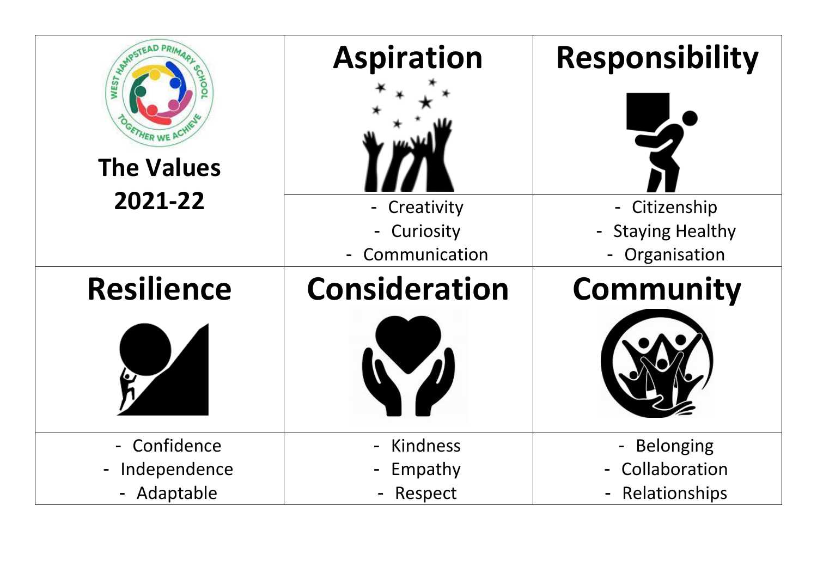| WANTSTEAD P<br><b>HER WE</b><br><b>The Values</b><br>2021-22 | <b>Aspiration</b><br>- Creativity<br>- Curiosity | <b>Responsibility</b><br>- Citizenship<br>- Staying Healthy |
|--------------------------------------------------------------|--------------------------------------------------|-------------------------------------------------------------|
|                                                              | Communication                                    | Organisation                                                |
| <b>Resilience</b>                                            | <b>Consideration</b>                             | <b>Community</b>                                            |
|                                                              |                                                  |                                                             |
| - Confidence                                                 | <b>Kindness</b>                                  | - Belonging                                                 |
| Independence                                                 | Empathy                                          | Collaboration                                               |
| - Adaptable                                                  | Respect                                          | - Relationships                                             |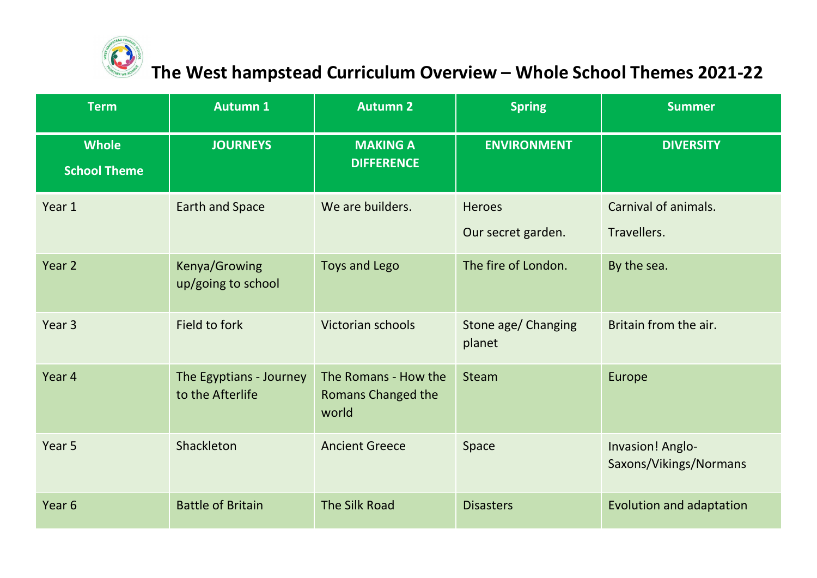

### **The West hampstead Curriculum Overview – Whole School Themes 2021-22**

| <b>Term</b>                                           | <b>Autumn 1</b>                     | <b>Autumn 2</b>                                            | <b>Spring</b>                       | <b>Summer</b>                              |
|-------------------------------------------------------|-------------------------------------|------------------------------------------------------------|-------------------------------------|--------------------------------------------|
| <b>Whole</b><br><b>School Theme</b>                   | <b>JOURNEYS</b>                     | <b>MAKING A</b><br><b>DIFFERENCE</b>                       | <b>ENVIRONMENT</b>                  | <b>DIVERSITY</b>                           |
| Year 1                                                | <b>Earth and Space</b>              | We are builders.                                           | <b>Heroes</b><br>Our secret garden. | Carnival of animals.<br>Travellers.        |
| Year 2                                                | Kenya/Growing<br>up/going to school | <b>Toys and Lego</b>                                       | The fire of London.                 | By the sea.                                |
| Year <sub>3</sub>                                     | Field to fork                       | Victorian schools                                          | Stone age/ Changing<br>planet       | Britain from the air.                      |
| Year 4<br>The Egyptians - Journey<br>to the Afterlife |                                     | The Romans - How the<br><b>Romans Changed the</b><br>world | <b>Steam</b>                        | Europe                                     |
| Year 5                                                | Shackleton                          | <b>Ancient Greece</b>                                      | Space                               | Invasion! Anglo-<br>Saxons/Vikings/Normans |
| Year <sub>6</sub>                                     | <b>Battle of Britain</b>            | <b>The Silk Road</b>                                       | <b>Disasters</b>                    | Evolution and adaptation                   |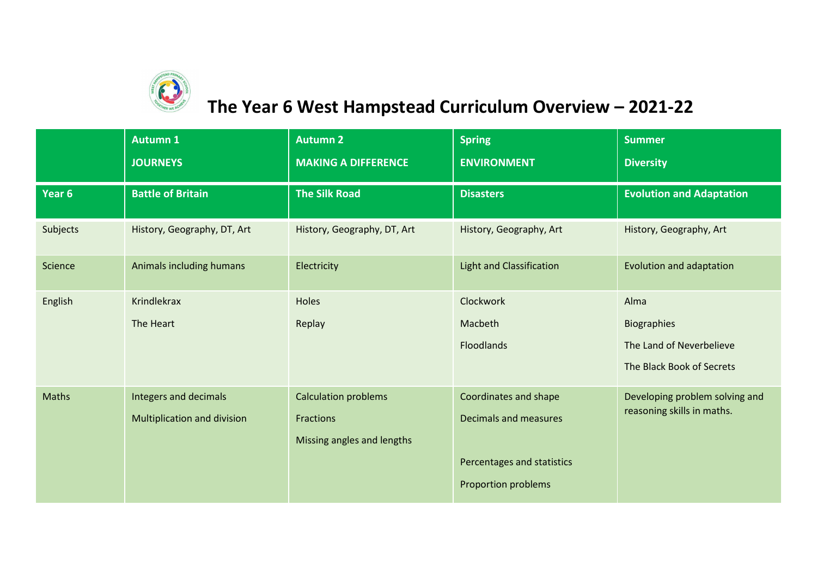

## **The Year 6 West Hampstead Curriculum Overview – 2021-22**

|              | <b>Autumn 1</b><br><b>JOURNEYS</b>                   | <b>Autumn 2</b><br><b>MAKING A DIFFERENCE</b>                          | <b>Spring</b><br><b>ENVIRONMENT</b>                                                                        | <b>Summer</b><br><b>Diversity</b>                                            |
|--------------|------------------------------------------------------|------------------------------------------------------------------------|------------------------------------------------------------------------------------------------------------|------------------------------------------------------------------------------|
| Year 6       | <b>Battle of Britain</b>                             | <b>The Silk Road</b>                                                   | <b>Disasters</b>                                                                                           | <b>Evolution and Adaptation</b>                                              |
| Subjects     | History, Geography, DT, Art                          | History, Geography, DT, Art                                            | History, Geography, Art                                                                                    | History, Geography, Art                                                      |
| Science      | Animals including humans                             | Electricity                                                            | <b>Light and Classification</b>                                                                            | Evolution and adaptation                                                     |
| English      | Krindlekrax<br>The Heart                             | Holes<br>Replay                                                        | Clockwork<br>Macbeth<br>Floodlands                                                                         | Alma<br>Biographies<br>The Land of Neverbelieve<br>The Black Book of Secrets |
| <b>Maths</b> | Integers and decimals<br>Multiplication and division | <b>Calculation problems</b><br>Fractions<br>Missing angles and lengths | Coordinates and shape<br><b>Decimals and measures</b><br>Percentages and statistics<br>Proportion problems | Developing problem solving and<br>reasoning skills in maths.                 |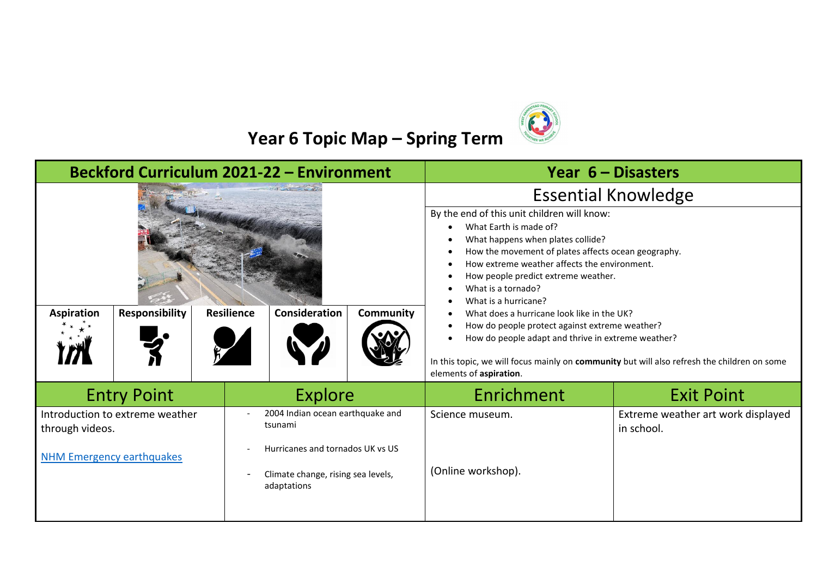

## **Year 6 Topic Map – Spring Term**

| <b>Beckford Curriculum 2021-22 - Environment</b>                                                                                                                                                                               |                                                        |                                       |                                                                                                                                                                                                                                                                                                                                                                                                                                                                                                                                                                                        | Year $6 -$ Disasters |
|--------------------------------------------------------------------------------------------------------------------------------------------------------------------------------------------------------------------------------|--------------------------------------------------------|---------------------------------------|----------------------------------------------------------------------------------------------------------------------------------------------------------------------------------------------------------------------------------------------------------------------------------------------------------------------------------------------------------------------------------------------------------------------------------------------------------------------------------------------------------------------------------------------------------------------------------------|----------------------|
|                                                                                                                                                                                                                                |                                                        |                                       | <b>Essential Knowledge</b>                                                                                                                                                                                                                                                                                                                                                                                                                                                                                                                                                             |                      |
| <b>Responsibility</b><br><b>Aspiration</b>                                                                                                                                                                                     | <b>Resilience</b><br>Consideration<br><b>Community</b> |                                       | By the end of this unit children will know:<br>What Earth is made of?<br>What happens when plates collide?<br>How the movement of plates affects ocean geography.<br>How extreme weather affects the environment.<br>How people predict extreme weather.<br>What is a tornado?<br>What is a hurricane?<br>What does a hurricane look like in the UK?<br>How do people protect against extreme weather?<br>How do people adapt and thrive in extreme weather?<br>In this topic, we will focus mainly on community but will also refresh the children on some<br>elements of aspiration. |                      |
| Explore<br><b>Entry Point</b>                                                                                                                                                                                                  |                                                        | Enrichment                            | <b>Exit Point</b>                                                                                                                                                                                                                                                                                                                                                                                                                                                                                                                                                                      |                      |
| 2004 Indian ocean earthquake and<br>Introduction to extreme weather<br>tsunami<br>through videos.<br>Hurricanes and tornados UK vs US<br><b>NHM Emergency earthquakes</b><br>Climate change, rising sea levels,<br>adaptations |                                                        | Science museum.<br>(Online workshop). | Extreme weather art work displayed<br>in school.                                                                                                                                                                                                                                                                                                                                                                                                                                                                                                                                       |                      |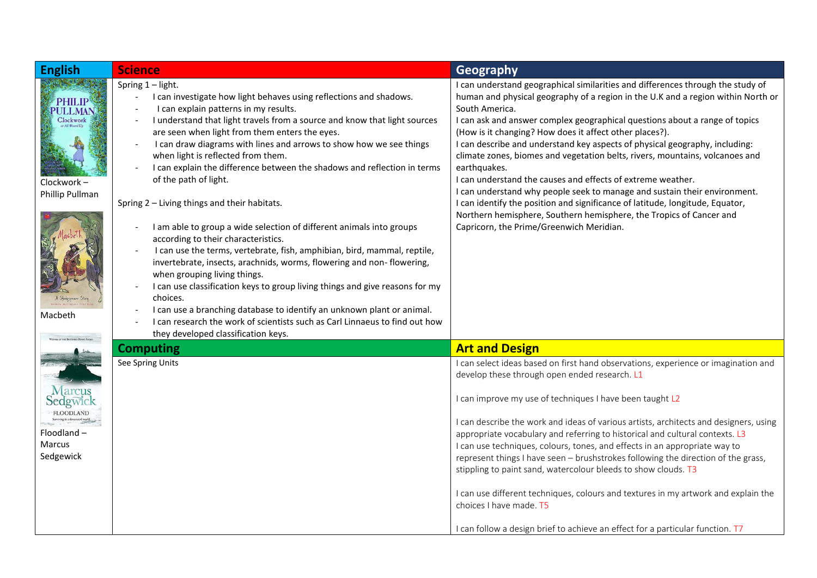| <b>English</b>                                                                    | <b>Science</b>                                                                                                                                                                                                                                                                                                                                                                                                                                                                                                                                                                                                                                                                                                                                                                                                                                                                                                                                                                                                                                                                                                                              | Geography                                                                                                                                                                                                                                                                                                                                                                                                                                                                                                                                                                                                                                                                                                                                                                                                                                                      |
|-----------------------------------------------------------------------------------|---------------------------------------------------------------------------------------------------------------------------------------------------------------------------------------------------------------------------------------------------------------------------------------------------------------------------------------------------------------------------------------------------------------------------------------------------------------------------------------------------------------------------------------------------------------------------------------------------------------------------------------------------------------------------------------------------------------------------------------------------------------------------------------------------------------------------------------------------------------------------------------------------------------------------------------------------------------------------------------------------------------------------------------------------------------------------------------------------------------------------------------------|----------------------------------------------------------------------------------------------------------------------------------------------------------------------------------------------------------------------------------------------------------------------------------------------------------------------------------------------------------------------------------------------------------------------------------------------------------------------------------------------------------------------------------------------------------------------------------------------------------------------------------------------------------------------------------------------------------------------------------------------------------------------------------------------------------------------------------------------------------------|
| <b>PHILIP</b><br>PULLMAN<br>Clockwork<br>Clockwork-<br>Phillip Pullman<br>Macbeth | Spring 1 - light.<br>I can investigate how light behaves using reflections and shadows.<br>I can explain patterns in my results.<br>I understand that light travels from a source and know that light sources<br>are seen when light from them enters the eyes.<br>I can draw diagrams with lines and arrows to show how we see things<br>$\sim$<br>when light is reflected from them.<br>I can explain the difference between the shadows and reflection in terms<br>of the path of light.<br>Spring 2 - Living things and their habitats.<br>I am able to group a wide selection of different animals into groups<br>according to their characteristics.<br>I can use the terms, vertebrate, fish, amphibian, bird, mammal, reptile,<br>invertebrate, insects, arachnids, worms, flowering and non-flowering,<br>when grouping living things.<br>I can use classification keys to group living things and give reasons for my<br>choices.<br>I can use a branching database to identify an unknown plant or animal.<br>I can research the work of scientists such as Carl Linnaeus to find out how<br>they developed classification keys. | I can understand geographical similarities and differences through the study of<br>human and physical geography of a region in the U.K and a region within North or<br>South America.<br>I can ask and answer complex geographical questions about a range of topics<br>(How is it changing? How does it affect other places?).<br>I can describe and understand key aspects of physical geography, including:<br>climate zones, biomes and vegetation belts, rivers, mountains, volcanoes and<br>earthquakes.<br>I can understand the causes and effects of extreme weather.<br>I can understand why people seek to manage and sustain their environment.<br>I can identify the position and significance of latitude, longitude, Equator,<br>Northern hemisphere, Southern hemisphere, the Tropics of Cancer and<br>Capricorn, the Prime/Greenwich Meridian. |
|                                                                                   | <b>Computing</b>                                                                                                                                                                                                                                                                                                                                                                                                                                                                                                                                                                                                                                                                                                                                                                                                                                                                                                                                                                                                                                                                                                                            | <b>Art and Design</b>                                                                                                                                                                                                                                                                                                                                                                                                                                                                                                                                                                                                                                                                                                                                                                                                                                          |
| arcus<br><b>FLOODLAND</b><br>Floodland-<br>Marcus<br>Sedgewick                    | See Spring Units                                                                                                                                                                                                                                                                                                                                                                                                                                                                                                                                                                                                                                                                                                                                                                                                                                                                                                                                                                                                                                                                                                                            | I can select ideas based on first hand observations, experience or imagination and<br>develop these through open ended research. L1<br>I can improve my use of techniques I have been taught L2<br>I can describe the work and ideas of various artists, architects and designers, using<br>appropriate vocabulary and referring to historical and cultural contexts. L3<br>I can use techniques, colours, tones, and effects in an appropriate way to<br>represent things I have seen - brushstrokes following the direction of the grass,<br>stippling to paint sand, watercolour bleeds to show clouds. T3<br>I can use different techniques, colours and textures in my artwork and explain the<br>choices I have made. T5<br>I can follow a design brief to achieve an effect for a particular function. T7                                               |